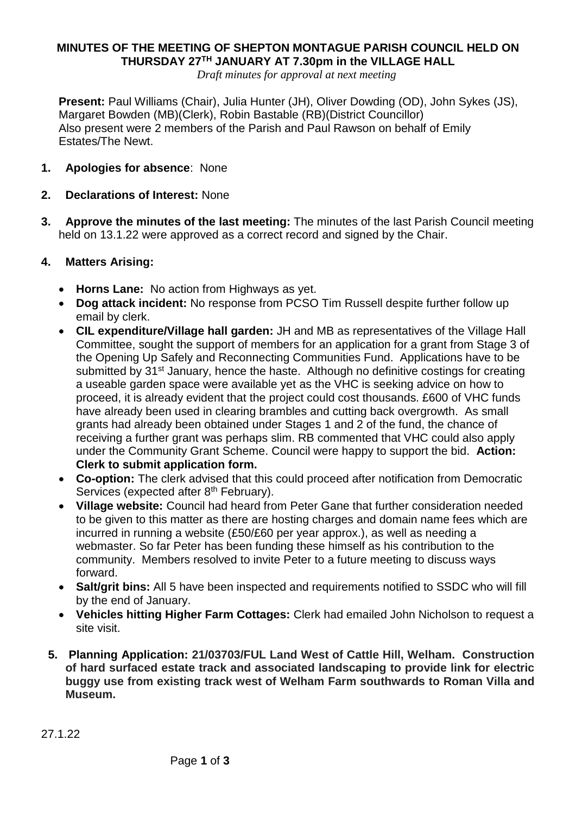## **MINUTES OF THE MEETING OF SHEPTON MONTAGUE PARISH COUNCIL HELD ON THURSDAY 27TH JANUARY AT 7.30pm in the VILLAGE HALL**

*Draft minutes for approval at next meeting*

**Present:** Paul Williams (Chair), Julia Hunter (JH), Oliver Dowding (OD), John Sykes (JS), Margaret Bowden (MB)(Clerk), Robin Bastable (RB)(District Councillor) Also present were 2 members of the Parish and Paul Rawson on behalf of Emily Estates/The Newt.

- **1. Apologies for absence**: None
- **2. Declarations of Interest:** None
- **3. Approve the minutes of the last meeting:** The minutes of the last Parish Council meeting held on 13.1.22 were approved as a correct record and signed by the Chair.

## **4. Matters Arising:**

- **Horns Lane:** No action from Highways as yet.
- **Dog attack incident:** No response from PCSO Tim Russell despite further follow up email by clerk.
- **CIL expenditure/Village hall garden:** JH and MB as representatives of the Village Hall Committee, sought the support of members for an application for a grant from Stage 3 of the Opening Up Safely and Reconnecting Communities Fund. Applications have to be submitted by 31<sup>st</sup> January, hence the haste. Although no definitive costings for creating a useable garden space were available yet as the VHC is seeking advice on how to proceed, it is already evident that the project could cost thousands. £600 of VHC funds have already been used in clearing brambles and cutting back overgrowth. As small grants had already been obtained under Stages 1 and 2 of the fund, the chance of receiving a further grant was perhaps slim. RB commented that VHC could also apply under the Community Grant Scheme. Council were happy to support the bid. **Action: Clerk to submit application form.**
- **Co-option:** The clerk advised that this could proceed after notification from Democratic Services (expected after 8<sup>th</sup> February).
- **Village website:** Council had heard from Peter Gane that further consideration needed to be given to this matter as there are hosting charges and domain name fees which are incurred in running a website (£50/£60 per year approx.), as well as needing a webmaster. So far Peter has been funding these himself as his contribution to the community. Members resolved to invite Peter to a future meeting to discuss ways forward.
- **Salt/grit bins:** All 5 have been inspected and requirements notified to SSDC who will fill by the end of January.
- **Vehicles hitting Higher Farm Cottages:** Clerk had emailed John Nicholson to request a site visit.
- **5. Planning Application: 21/03703/FUL Land West of Cattle Hill, Welham. Construction of hard surfaced estate track and associated landscaping to provide link for electric buggy use from existing track west of Welham Farm southwards to Roman Villa and Museum.**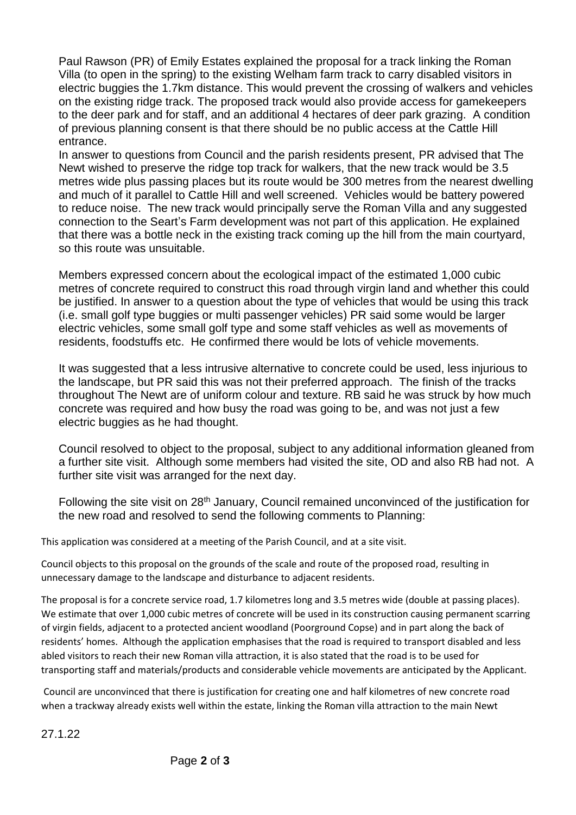Paul Rawson (PR) of Emily Estates explained the proposal for a track linking the Roman Villa (to open in the spring) to the existing Welham farm track to carry disabled visitors in electric buggies the 1.7km distance. This would prevent the crossing of walkers and vehicles on the existing ridge track. The proposed track would also provide access for gamekeepers to the deer park and for staff, and an additional 4 hectares of deer park grazing. A condition of previous planning consent is that there should be no public access at the Cattle Hill entrance.

In answer to questions from Council and the parish residents present, PR advised that The Newt wished to preserve the ridge top track for walkers, that the new track would be 3.5 metres wide plus passing places but its route would be 300 metres from the nearest dwelling and much of it parallel to Cattle Hill and well screened. Vehicles would be battery powered to reduce noise. The new track would principally serve the Roman Villa and any suggested connection to the Seart's Farm development was not part of this application. He explained that there was a bottle neck in the existing track coming up the hill from the main courtyard, so this route was unsuitable.

Members expressed concern about the ecological impact of the estimated 1,000 cubic metres of concrete required to construct this road through virgin land and whether this could be justified. In answer to a question about the type of vehicles that would be using this track (i.e. small golf type buggies or multi passenger vehicles) PR said some would be larger electric vehicles, some small golf type and some staff vehicles as well as movements of residents, foodstuffs etc. He confirmed there would be lots of vehicle movements.

It was suggested that a less intrusive alternative to concrete could be used, less injurious to the landscape, but PR said this was not their preferred approach. The finish of the tracks throughout The Newt are of uniform colour and texture. RB said he was struck by how much concrete was required and how busy the road was going to be, and was not just a few electric buggies as he had thought.

Council resolved to object to the proposal, subject to any additional information gleaned from a further site visit. Although some members had visited the site, OD and also RB had not. A further site visit was arranged for the next day.

Following the site visit on 28<sup>th</sup> January, Council remained unconvinced of the justification for the new road and resolved to send the following comments to Planning:

This application was considered at a meeting of the Parish Council, and at a site visit.

Council objects to this proposal on the grounds of the scale and route of the proposed road, resulting in unnecessary damage to the landscape and disturbance to adjacent residents.

The proposal is for a concrete service road, 1.7 kilometres long and 3.5 metres wide (double at passing places). We estimate that over 1,000 cubic metres of concrete will be used in its construction causing permanent scarring of virgin fields, adjacent to a protected ancient woodland (Poorground Copse) and in part along the back of residents' homes. Although the application emphasises that the road is required to transport disabled and less abled visitors to reach their new Roman villa attraction, it is also stated that the road is to be used for transporting staff and materials/products and considerable vehicle movements are anticipated by the Applicant.

Council are unconvinced that there is justification for creating one and half kilometres of new concrete road when a trackway already exists well within the estate, linking the Roman villa attraction to the main Newt

27.1.22